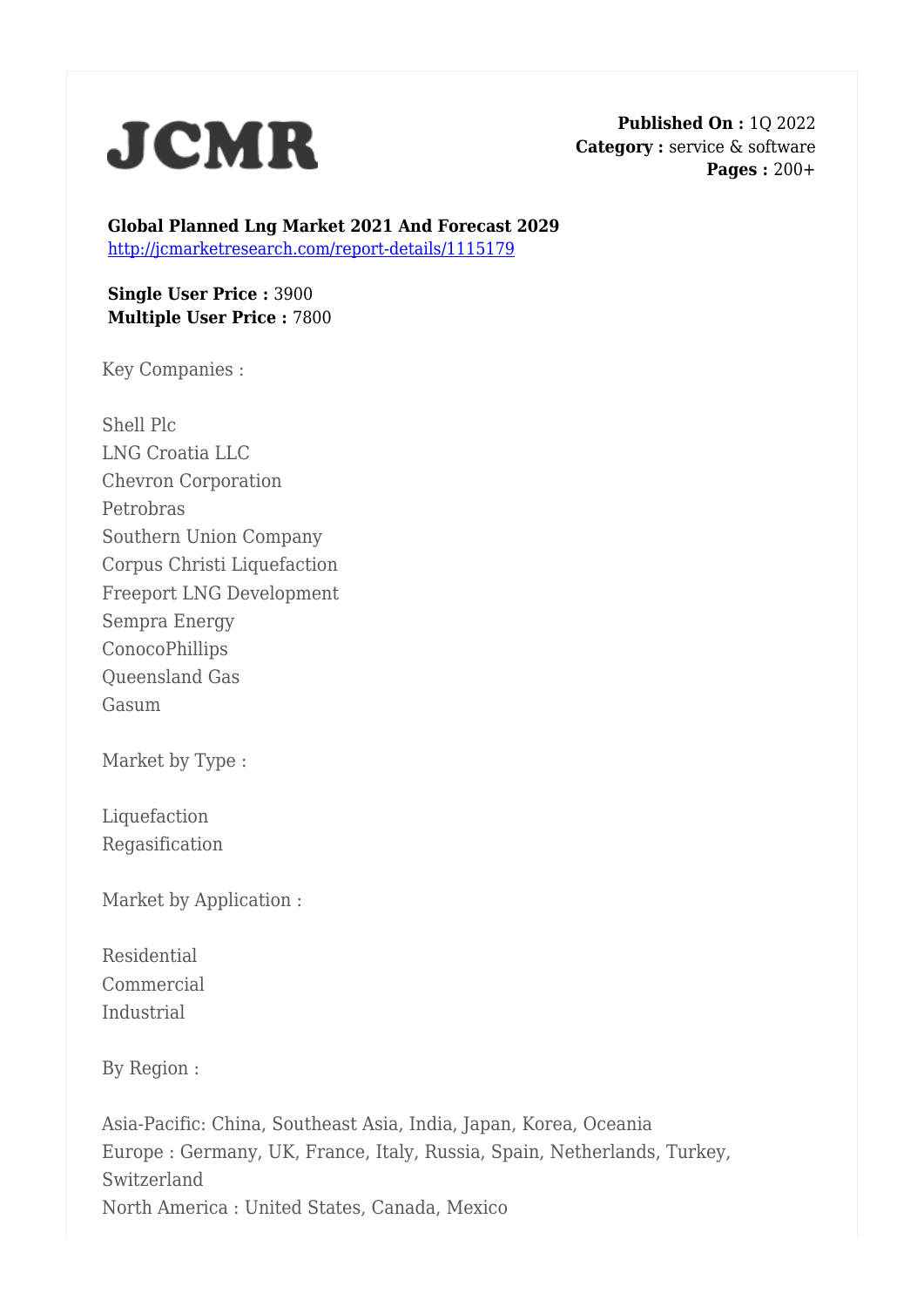

**Published On :** 1Q 2022 **Category :** service & software **Pages :** 200+

**Global Planned Lng Market 2021 And Forecast 2029** <http://jcmarketresearch.com/report-details/1115179>

**Single User Price :** 3900 **Multiple User Price :** 7800

Key Companies :

Shell Plc LNG Croatia LLC Chevron Corporation Petrobras Southern Union Company Corpus Christi Liquefaction Freeport LNG Development Sempra Energy ConocoPhillips Queensland Gas Gasum

Market by Type :

Liquefaction Regasification

Market by Application :

Residential Commercial Industrial

By Region :

Asia-Pacific: China, Southeast Asia, India, Japan, Korea, Oceania Europe : Germany, UK, France, Italy, Russia, Spain, Netherlands, Turkey, Switzerland North America : United States, Canada, Mexico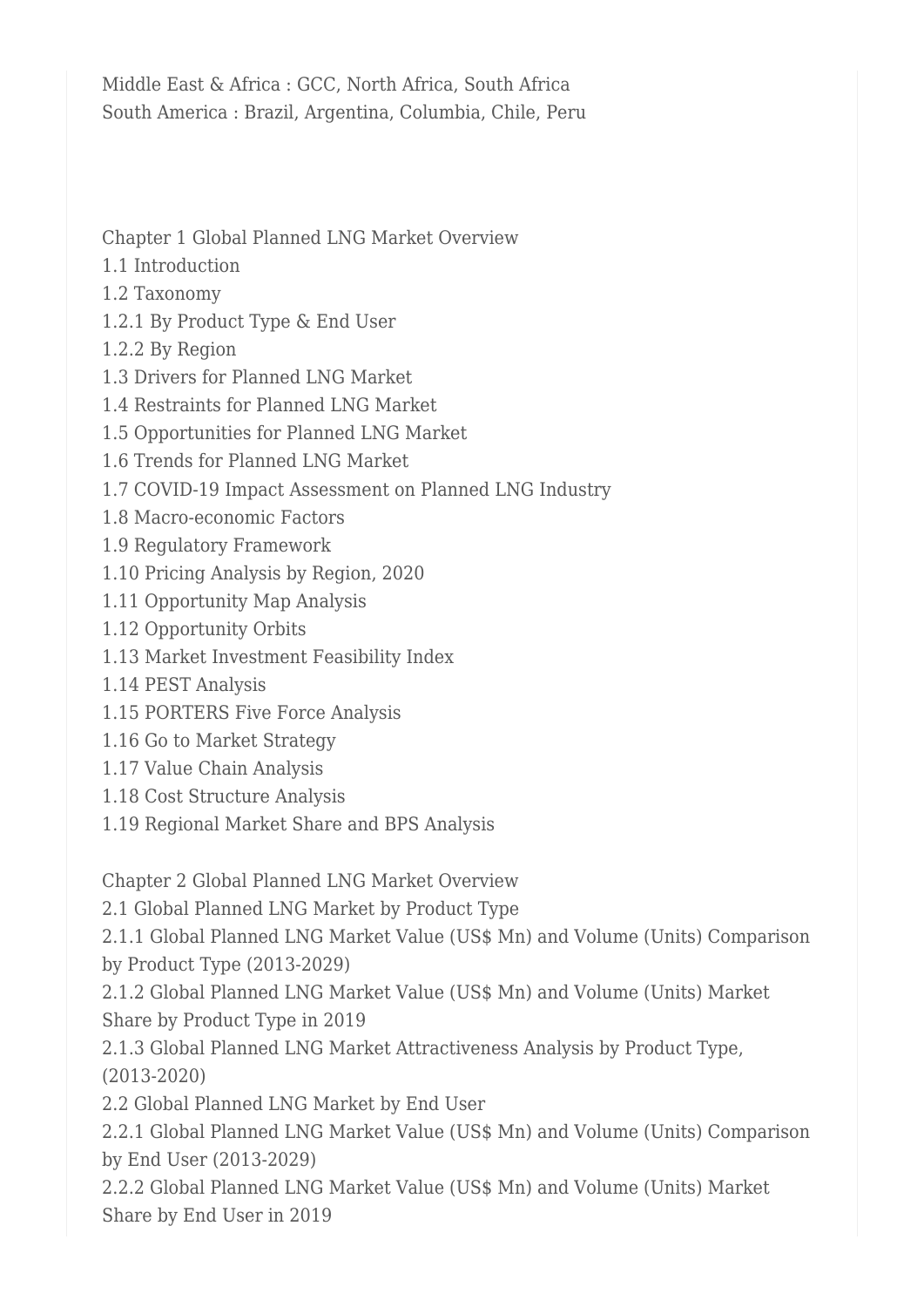Middle East & Africa : GCC, North Africa, South Africa South America : Brazil, Argentina, Columbia, Chile, Peru

Chapter 1 Global Planned LNG Market Overview

- 1.1 Introduction
- 1.2 Taxonomy
- 1.2.1 By Product Type & End User
- 1.2.2 By Region
- 1.3 Drivers for Planned LNG Market
- 1.4 Restraints for Planned LNG Market
- 1.5 Opportunities for Planned LNG Market
- 1.6 Trends for Planned LNG Market
- 1.7 COVID-19 Impact Assessment on Planned LNG Industry
- 1.8 Macro-economic Factors
- 1.9 Regulatory Framework
- 1.10 Pricing Analysis by Region, 2020
- 1.11 Opportunity Map Analysis
- 1.12 Opportunity Orbits
- 1.13 Market Investment Feasibility Index
- 1.14 PEST Analysis
- 1.15 PORTERS Five Force Analysis
- 1.16 Go to Market Strategy
- 1.17 Value Chain Analysis
- 1.18 Cost Structure Analysis
- 1.19 Regional Market Share and BPS Analysis

Chapter 2 Global Planned LNG Market Overview

2.1 Global Planned LNG Market by Product Type

2.1.1 Global Planned LNG Market Value (US\$ Mn) and Volume (Units) Comparison by Product Type (2013-2029)

2.1.2 Global Planned LNG Market Value (US\$ Mn) and Volume (Units) Market Share by Product Type in 2019

2.1.3 Global Planned LNG Market Attractiveness Analysis by Product Type, (2013-2020)

2.2 Global Planned LNG Market by End User

2.2.1 Global Planned LNG Market Value (US\$ Mn) and Volume (Units) Comparison by End User (2013-2029)

2.2.2 Global Planned LNG Market Value (US\$ Mn) and Volume (Units) Market Share by End User in 2019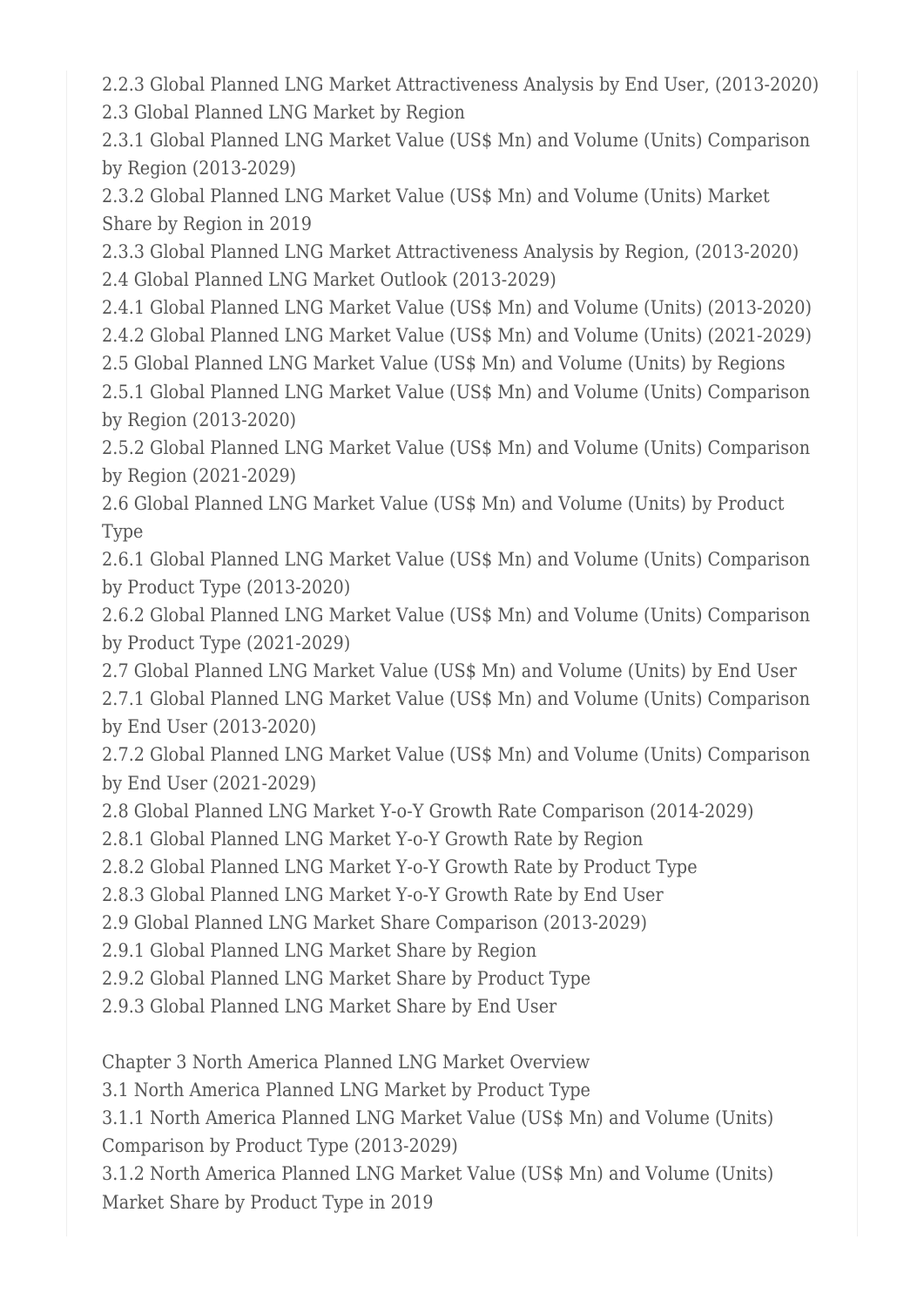2.2.3 Global Planned LNG Market Attractiveness Analysis by End User, (2013-2020) 2.3 Global Planned LNG Market by Region

2.3.1 Global Planned LNG Market Value (US\$ Mn) and Volume (Units) Comparison by Region (2013-2029)

2.3.2 Global Planned LNG Market Value (US\$ Mn) and Volume (Units) Market Share by Region in 2019

2.3.3 Global Planned LNG Market Attractiveness Analysis by Region, (2013-2020) 2.4 Global Planned LNG Market Outlook (2013-2029)

2.4.1 Global Planned LNG Market Value (US\$ Mn) and Volume (Units) (2013-2020)

2.4.2 Global Planned LNG Market Value (US\$ Mn) and Volume (Units) (2021-2029)

2.5 Global Planned LNG Market Value (US\$ Mn) and Volume (Units) by Regions

2.5.1 Global Planned LNG Market Value (US\$ Mn) and Volume (Units) Comparison by Region (2013-2020)

2.5.2 Global Planned LNG Market Value (US\$ Mn) and Volume (Units) Comparison by Region (2021-2029)

2.6 Global Planned LNG Market Value (US\$ Mn) and Volume (Units) by Product Type

2.6.1 Global Planned LNG Market Value (US\$ Mn) and Volume (Units) Comparison by Product Type (2013-2020)

2.6.2 Global Planned LNG Market Value (US\$ Mn) and Volume (Units) Comparison by Product Type (2021-2029)

2.7 Global Planned LNG Market Value (US\$ Mn) and Volume (Units) by End User

2.7.1 Global Planned LNG Market Value (US\$ Mn) and Volume (Units) Comparison by End User (2013-2020)

2.7.2 Global Planned LNG Market Value (US\$ Mn) and Volume (Units) Comparison by End User (2021-2029)

2.8 Global Planned LNG Market Y-o-Y Growth Rate Comparison (2014-2029)

2.8.1 Global Planned LNG Market Y-o-Y Growth Rate by Region

2.8.2 Global Planned LNG Market Y-o-Y Growth Rate by Product Type

2.8.3 Global Planned LNG Market Y-o-Y Growth Rate by End User

2.9 Global Planned LNG Market Share Comparison (2013-2029)

2.9.1 Global Planned LNG Market Share by Region

2.9.2 Global Planned LNG Market Share by Product Type

2.9.3 Global Planned LNG Market Share by End User

Chapter 3 North America Planned LNG Market Overview

3.1 North America Planned LNG Market by Product Type

3.1.1 North America Planned LNG Market Value (US\$ Mn) and Volume (Units) Comparison by Product Type (2013-2029)

3.1.2 North America Planned LNG Market Value (US\$ Mn) and Volume (Units) Market Share by Product Type in 2019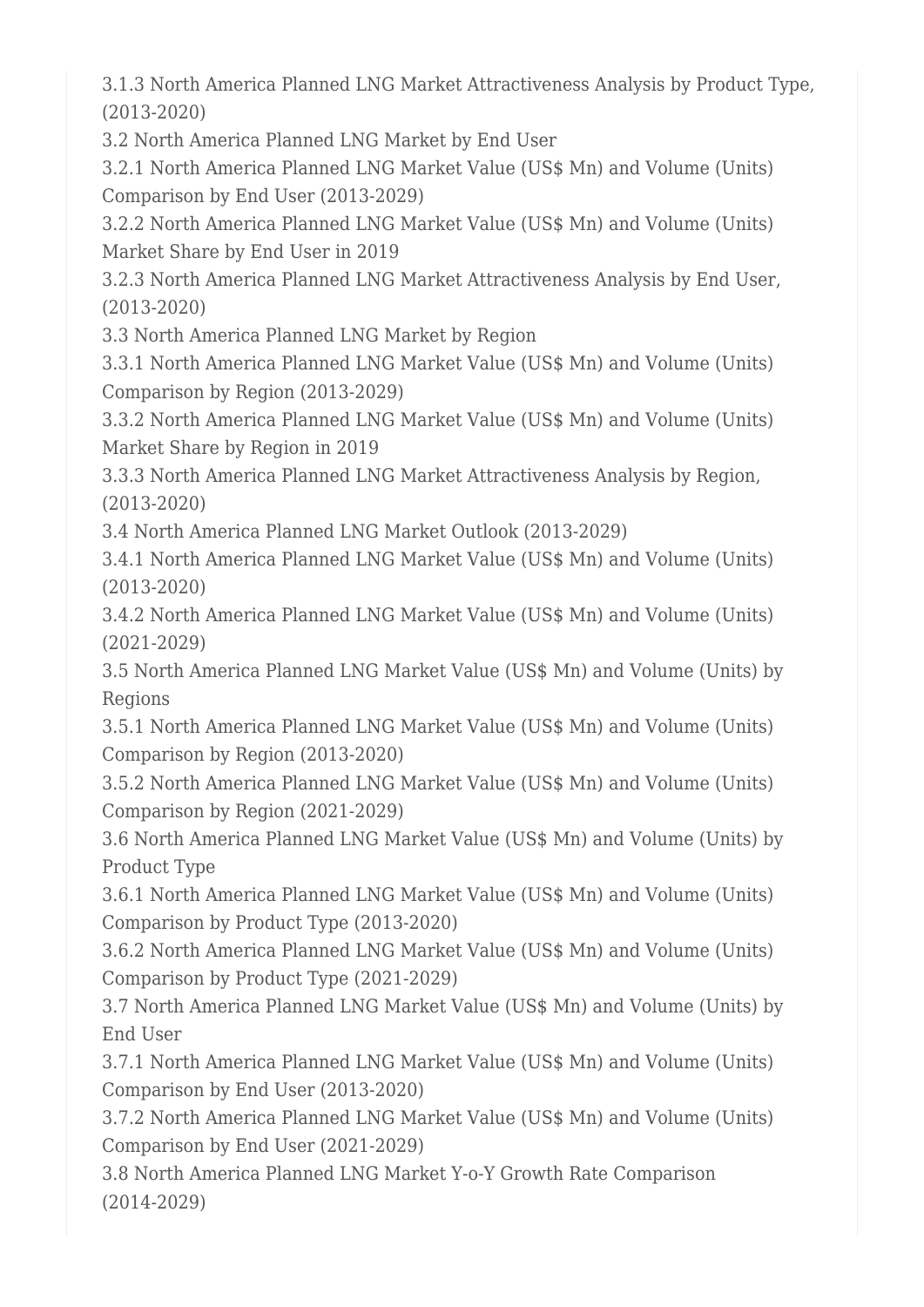3.1.3 North America Planned LNG Market Attractiveness Analysis by Product Type, (2013-2020)

3.2 North America Planned LNG Market by End User

3.2.1 North America Planned LNG Market Value (US\$ Mn) and Volume (Units) Comparison by End User (2013-2029)

3.2.2 North America Planned LNG Market Value (US\$ Mn) and Volume (Units) Market Share by End User in 2019

3.2.3 North America Planned LNG Market Attractiveness Analysis by End User, (2013-2020)

3.3 North America Planned LNG Market by Region

3.3.1 North America Planned LNG Market Value (US\$ Mn) and Volume (Units) Comparison by Region (2013-2029)

3.3.2 North America Planned LNG Market Value (US\$ Mn) and Volume (Units) Market Share by Region in 2019

3.3.3 North America Planned LNG Market Attractiveness Analysis by Region, (2013-2020)

3.4 North America Planned LNG Market Outlook (2013-2029)

3.4.1 North America Planned LNG Market Value (US\$ Mn) and Volume (Units) (2013-2020)

3.4.2 North America Planned LNG Market Value (US\$ Mn) and Volume (Units) (2021-2029)

3.5 North America Planned LNG Market Value (US\$ Mn) and Volume (Units) by Regions

3.5.1 North America Planned LNG Market Value (US\$ Mn) and Volume (Units) Comparison by Region (2013-2020)

3.5.2 North America Planned LNG Market Value (US\$ Mn) and Volume (Units) Comparison by Region (2021-2029)

3.6 North America Planned LNG Market Value (US\$ Mn) and Volume (Units) by Product Type

3.6.1 North America Planned LNG Market Value (US\$ Mn) and Volume (Units) Comparison by Product Type (2013-2020)

3.6.2 North America Planned LNG Market Value (US\$ Mn) and Volume (Units) Comparison by Product Type (2021-2029)

3.7 North America Planned LNG Market Value (US\$ Mn) and Volume (Units) by End User

3.7.1 North America Planned LNG Market Value (US\$ Mn) and Volume (Units) Comparison by End User (2013-2020)

3.7.2 North America Planned LNG Market Value (US\$ Mn) and Volume (Units) Comparison by End User (2021-2029)

3.8 North America Planned LNG Market Y-o-Y Growth Rate Comparison (2014-2029)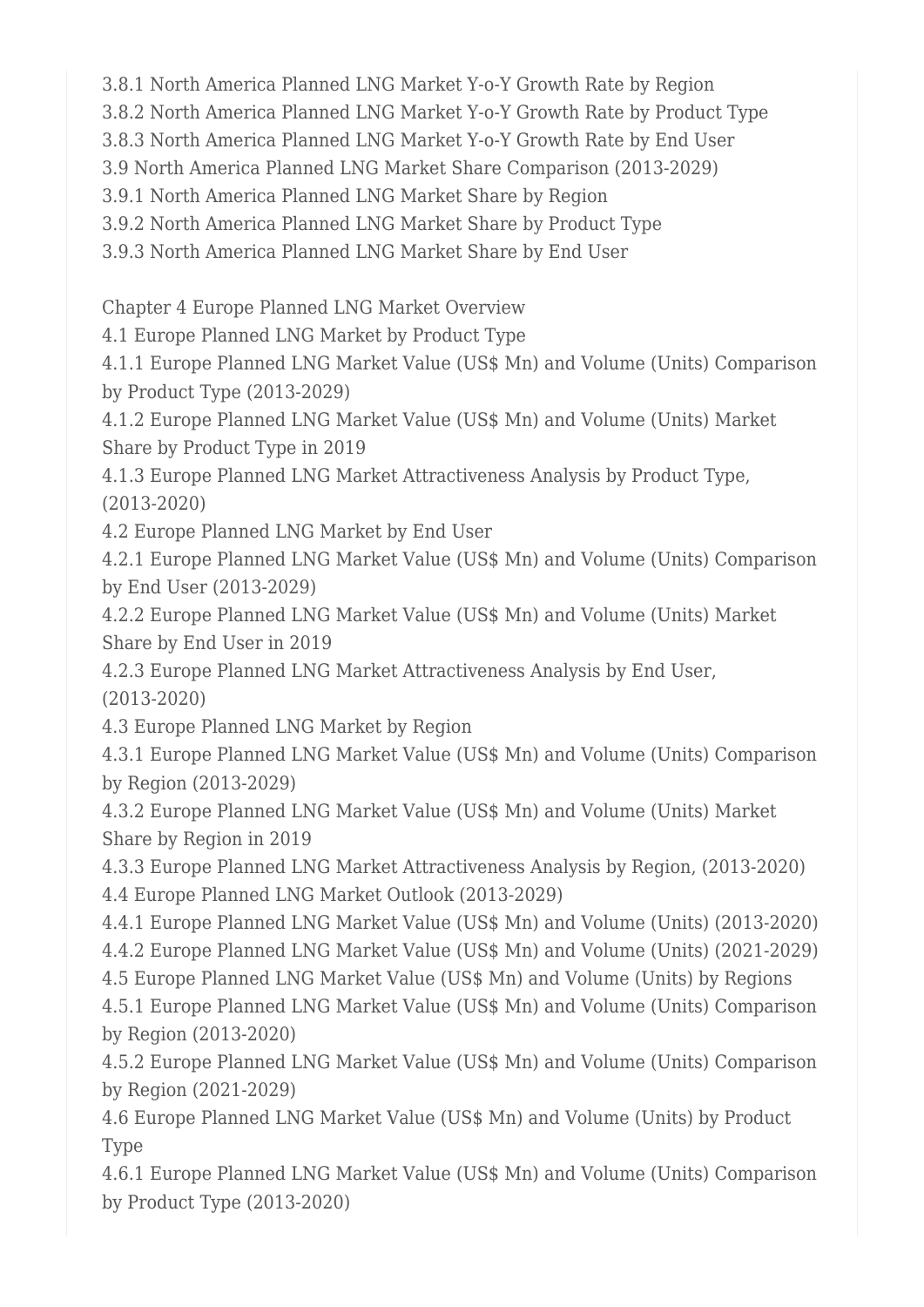3.8.1 North America Planned LNG Market Y-o-Y Growth Rate by Region

3.8.2 North America Planned LNG Market Y-o-Y Growth Rate by Product Type

3.8.3 North America Planned LNG Market Y-o-Y Growth Rate by End User

3.9 North America Planned LNG Market Share Comparison (2013-2029)

3.9.1 North America Planned LNG Market Share by Region

3.9.2 North America Planned LNG Market Share by Product Type

3.9.3 North America Planned LNG Market Share by End User

Chapter 4 Europe Planned LNG Market Overview

4.1 Europe Planned LNG Market by Product Type

4.1.1 Europe Planned LNG Market Value (US\$ Mn) and Volume (Units) Comparison by Product Type (2013-2029)

4.1.2 Europe Planned LNG Market Value (US\$ Mn) and Volume (Units) Market Share by Product Type in 2019

4.1.3 Europe Planned LNG Market Attractiveness Analysis by Product Type, (2013-2020)

4.2 Europe Planned LNG Market by End User

4.2.1 Europe Planned LNG Market Value (US\$ Mn) and Volume (Units) Comparison by End User (2013-2029)

4.2.2 Europe Planned LNG Market Value (US\$ Mn) and Volume (Units) Market Share by End User in 2019

4.2.3 Europe Planned LNG Market Attractiveness Analysis by End User, (2013-2020)

4.3 Europe Planned LNG Market by Region

4.3.1 Europe Planned LNG Market Value (US\$ Mn) and Volume (Units) Comparison by Region (2013-2029)

4.3.2 Europe Planned LNG Market Value (US\$ Mn) and Volume (Units) Market Share by Region in 2019

4.3.3 Europe Planned LNG Market Attractiveness Analysis by Region, (2013-2020) 4.4 Europe Planned LNG Market Outlook (2013-2029)

4.4.1 Europe Planned LNG Market Value (US\$ Mn) and Volume (Units) (2013-2020)

4.4.2 Europe Planned LNG Market Value (US\$ Mn) and Volume (Units) (2021-2029)

4.5 Europe Planned LNG Market Value (US\$ Mn) and Volume (Units) by Regions

4.5.1 Europe Planned LNG Market Value (US\$ Mn) and Volume (Units) Comparison by Region (2013-2020)

4.5.2 Europe Planned LNG Market Value (US\$ Mn) and Volume (Units) Comparison by Region (2021-2029)

4.6 Europe Planned LNG Market Value (US\$ Mn) and Volume (Units) by Product Type

4.6.1 Europe Planned LNG Market Value (US\$ Mn) and Volume (Units) Comparison by Product Type (2013-2020)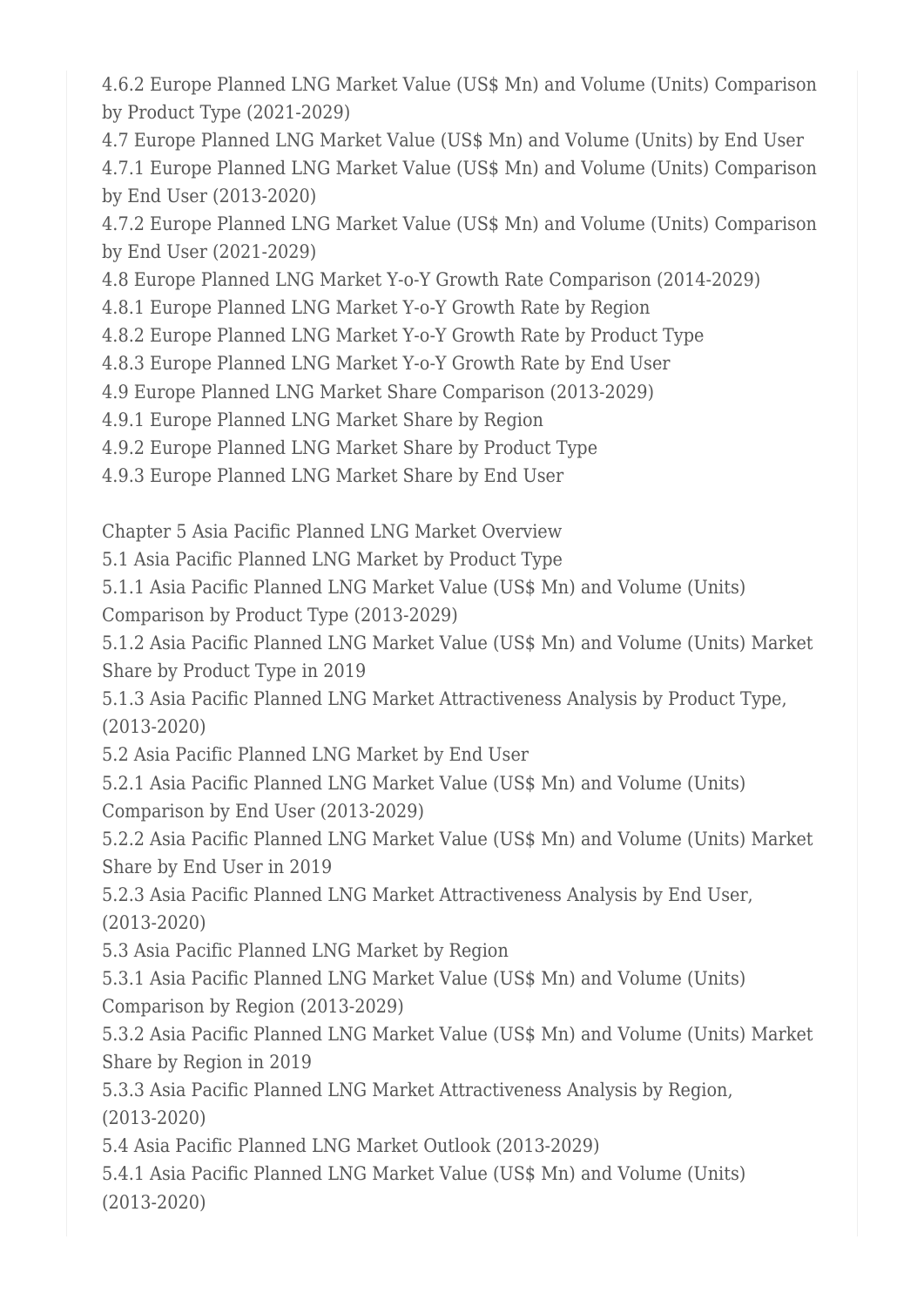4.6.2 Europe Planned LNG Market Value (US\$ Mn) and Volume (Units) Comparison by Product Type (2021-2029)

4.7 Europe Planned LNG Market Value (US\$ Mn) and Volume (Units) by End User 4.7.1 Europe Planned LNG Market Value (US\$ Mn) and Volume (Units) Comparison by End User (2013-2020)

4.7.2 Europe Planned LNG Market Value (US\$ Mn) and Volume (Units) Comparison by End User (2021-2029)

4.8 Europe Planned LNG Market Y-o-Y Growth Rate Comparison (2014-2029)

4.8.1 Europe Planned LNG Market Y-o-Y Growth Rate by Region

4.8.2 Europe Planned LNG Market Y-o-Y Growth Rate by Product Type

4.8.3 Europe Planned LNG Market Y-o-Y Growth Rate by End User

4.9 Europe Planned LNG Market Share Comparison (2013-2029)

4.9.1 Europe Planned LNG Market Share by Region

4.9.2 Europe Planned LNG Market Share by Product Type

4.9.3 Europe Planned LNG Market Share by End User

Chapter 5 Asia Pacific Planned LNG Market Overview

5.1 Asia Pacific Planned LNG Market by Product Type

5.1.1 Asia Pacific Planned LNG Market Value (US\$ Mn) and Volume (Units) Comparison by Product Type (2013-2029)

5.1.2 Asia Pacific Planned LNG Market Value (US\$ Mn) and Volume (Units) Market Share by Product Type in 2019

5.1.3 Asia Pacific Planned LNG Market Attractiveness Analysis by Product Type, (2013-2020)

5.2 Asia Pacific Planned LNG Market by End User

5.2.1 Asia Pacific Planned LNG Market Value (US\$ Mn) and Volume (Units) Comparison by End User (2013-2029)

5.2.2 Asia Pacific Planned LNG Market Value (US\$ Mn) and Volume (Units) Market Share by End User in 2019

5.2.3 Asia Pacific Planned LNG Market Attractiveness Analysis by End User, (2013-2020)

5.3 Asia Pacific Planned LNG Market by Region

5.3.1 Asia Pacific Planned LNG Market Value (US\$ Mn) and Volume (Units) Comparison by Region (2013-2029)

5.3.2 Asia Pacific Planned LNG Market Value (US\$ Mn) and Volume (Units) Market Share by Region in 2019

5.3.3 Asia Pacific Planned LNG Market Attractiveness Analysis by Region, (2013-2020)

5.4 Asia Pacific Planned LNG Market Outlook (2013-2029)

5.4.1 Asia Pacific Planned LNG Market Value (US\$ Mn) and Volume (Units) (2013-2020)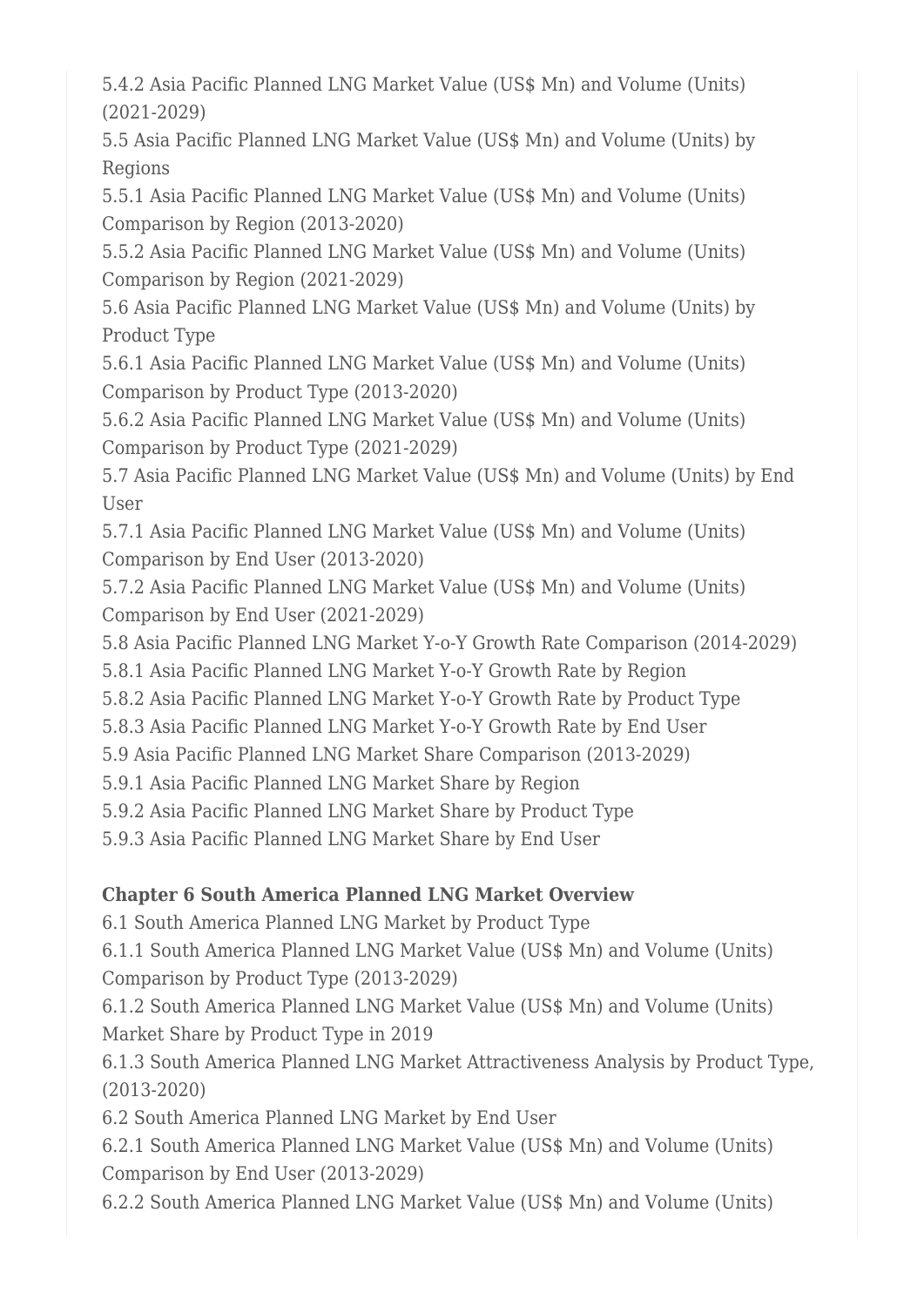5.4.2 Asia Pacific Planned LNG Market Value (US\$ Mn) and Volume (Units) (2021-2029)

5.5 Asia Pacific Planned LNG Market Value (US\$ Mn) and Volume (Units) by Regions

5.5.1 Asia Pacific Planned LNG Market Value (US\$ Mn) and Volume (Units) Comparison by Region (2013-2020)

5.5.2 Asia Pacific Planned LNG Market Value (US\$ Mn) and Volume (Units) Comparison by Region (2021-2029)

5.6 Asia Pacific Planned LNG Market Value (US\$ Mn) and Volume (Units) by Product Type

5.6.1 Asia Pacific Planned LNG Market Value (US\$ Mn) and Volume (Units) Comparison by Product Type (2013-2020)

5.6.2 Asia Pacific Planned LNG Market Value (US\$ Mn) and Volume (Units) Comparison by Product Type (2021-2029)

5.7 Asia Pacific Planned LNG Market Value (US\$ Mn) and Volume (Units) by End User

5.7.1 Asia Pacific Planned LNG Market Value (US\$ Mn) and Volume (Units) Comparison by End User (2013-2020)

5.7.2 Asia Pacific Planned LNG Market Value (US\$ Mn) and Volume (Units) Comparison by End User (2021-2029)

5.8 Asia Pacific Planned LNG Market Y-o-Y Growth Rate Comparison (2014-2029)

5.8.1 Asia Pacific Planned LNG Market Y-o-Y Growth Rate by Region

5.8.2 Asia Pacific Planned LNG Market Y-o-Y Growth Rate by Product Type

5.8.3 Asia Pacific Planned LNG Market Y-o-Y Growth Rate by End User

5.9 Asia Pacific Planned LNG Market Share Comparison (2013-2029)

5.9.1 Asia Pacific Planned LNG Market Share by Region

5.9.2 Asia Pacific Planned LNG Market Share by Product Type

5.9.3 Asia Pacific Planned LNG Market Share by End User

## **Chapter 6 South America Planned LNG Market Overview**

6.1 South America Planned LNG Market by Product Type

6.1.1 South America Planned LNG Market Value (US\$ Mn) and Volume (Units)

Comparison by Product Type (2013-2029)

6.1.2 South America Planned LNG Market Value (US\$ Mn) and Volume (Units) Market Share by Product Type in 2019

6.1.3 South America Planned LNG Market Attractiveness Analysis by Product Type, (2013-2020)

6.2 South America Planned LNG Market by End User

6.2.1 South America Planned LNG Market Value (US\$ Mn) and Volume (Units) Comparison by End User (2013-2029)

6.2.2 South America Planned LNG Market Value (US\$ Mn) and Volume (Units)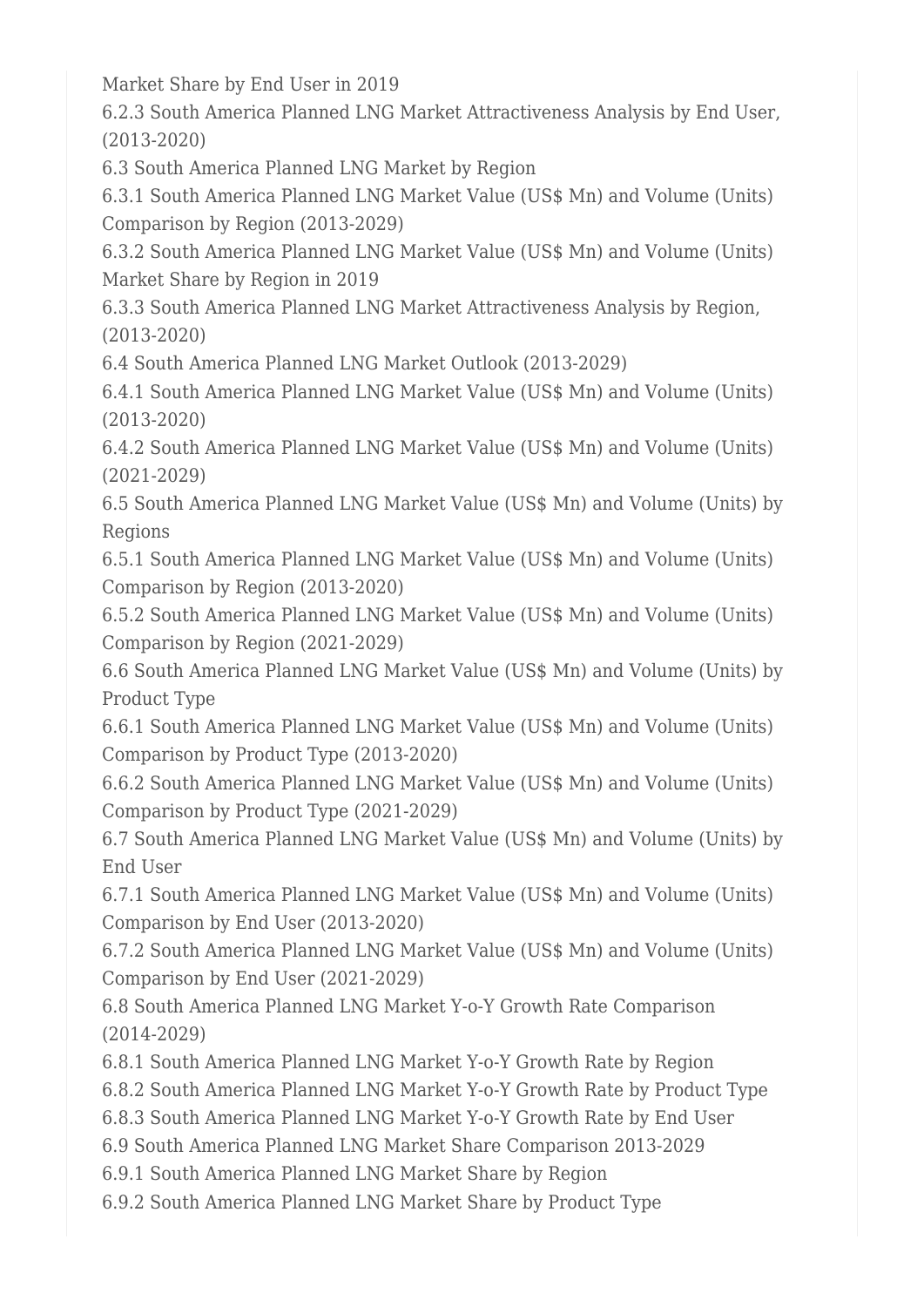Market Share by End User in 2019

6.2.3 South America Planned LNG Market Attractiveness Analysis by End User, (2013-2020)

6.3 South America Planned LNG Market by Region

6.3.1 South America Planned LNG Market Value (US\$ Mn) and Volume (Units) Comparison by Region (2013-2029)

6.3.2 South America Planned LNG Market Value (US\$ Mn) and Volume (Units) Market Share by Region in 2019

6.3.3 South America Planned LNG Market Attractiveness Analysis by Region, (2013-2020)

6.4 South America Planned LNG Market Outlook (2013-2029)

6.4.1 South America Planned LNG Market Value (US\$ Mn) and Volume (Units) (2013-2020)

6.4.2 South America Planned LNG Market Value (US\$ Mn) and Volume (Units) (2021-2029)

6.5 South America Planned LNG Market Value (US\$ Mn) and Volume (Units) by Regions

6.5.1 South America Planned LNG Market Value (US\$ Mn) and Volume (Units) Comparison by Region (2013-2020)

6.5.2 South America Planned LNG Market Value (US\$ Mn) and Volume (Units) Comparison by Region (2021-2029)

6.6 South America Planned LNG Market Value (US\$ Mn) and Volume (Units) by Product Type

6.6.1 South America Planned LNG Market Value (US\$ Mn) and Volume (Units) Comparison by Product Type (2013-2020)

6.6.2 South America Planned LNG Market Value (US\$ Mn) and Volume (Units) Comparison by Product Type (2021-2029)

6.7 South America Planned LNG Market Value (US\$ Mn) and Volume (Units) by End User

6.7.1 South America Planned LNG Market Value (US\$ Mn) and Volume (Units) Comparison by End User (2013-2020)

6.7.2 South America Planned LNG Market Value (US\$ Mn) and Volume (Units) Comparison by End User (2021-2029)

6.8 South America Planned LNG Market Y-o-Y Growth Rate Comparison (2014-2029)

6.8.1 South America Planned LNG Market Y-o-Y Growth Rate by Region

6.8.2 South America Planned LNG Market Y-o-Y Growth Rate by Product Type

6.8.3 South America Planned LNG Market Y-o-Y Growth Rate by End User

6.9 South America Planned LNG Market Share Comparison 2013-2029

6.9.1 South America Planned LNG Market Share by Region

6.9.2 South America Planned LNG Market Share by Product Type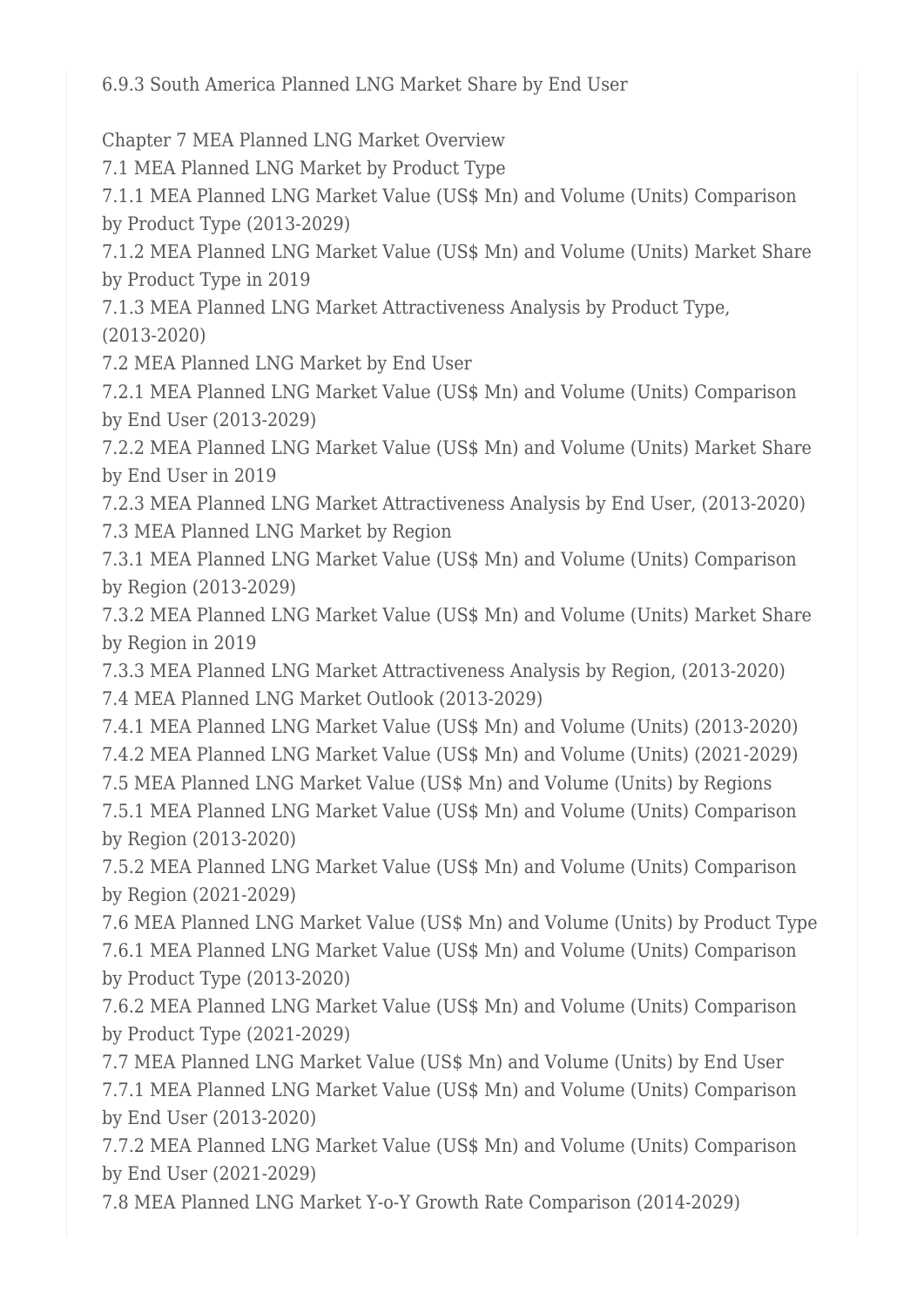6.9.3 South America Planned LNG Market Share by End User

Chapter 7 MEA Planned LNG Market Overview

7.1 MEA Planned LNG Market by Product Type

7.1.1 MEA Planned LNG Market Value (US\$ Mn) and Volume (Units) Comparison by Product Type (2013-2029)

7.1.2 MEA Planned LNG Market Value (US\$ Mn) and Volume (Units) Market Share by Product Type in 2019

7.1.3 MEA Planned LNG Market Attractiveness Analysis by Product Type,

(2013-2020)

7.2 MEA Planned LNG Market by End User

7.2.1 MEA Planned LNG Market Value (US\$ Mn) and Volume (Units) Comparison by End User (2013-2029)

7.2.2 MEA Planned LNG Market Value (US\$ Mn) and Volume (Units) Market Share by End User in 2019

7.2.3 MEA Planned LNG Market Attractiveness Analysis by End User, (2013-2020) 7.3 MEA Planned LNG Market by Region

7.3.1 MEA Planned LNG Market Value (US\$ Mn) and Volume (Units) Comparison by Region (2013-2029)

7.3.2 MEA Planned LNG Market Value (US\$ Mn) and Volume (Units) Market Share by Region in 2019

7.3.3 MEA Planned LNG Market Attractiveness Analysis by Region, (2013-2020) 7.4 MEA Planned LNG Market Outlook (2013-2029)

7.4.1 MEA Planned LNG Market Value (US\$ Mn) and Volume (Units) (2013-2020)

7.4.2 MEA Planned LNG Market Value (US\$ Mn) and Volume (Units) (2021-2029)

7.5 MEA Planned LNG Market Value (US\$ Mn) and Volume (Units) by Regions 7.5.1 MEA Planned LNG Market Value (US\$ Mn) and Volume (Units) Comparison by Region (2013-2020)

7.5.2 MEA Planned LNG Market Value (US\$ Mn) and Volume (Units) Comparison by Region (2021-2029)

7.6 MEA Planned LNG Market Value (US\$ Mn) and Volume (Units) by Product Type 7.6.1 MEA Planned LNG Market Value (US\$ Mn) and Volume (Units) Comparison by Product Type (2013-2020)

7.6.2 MEA Planned LNG Market Value (US\$ Mn) and Volume (Units) Comparison by Product Type (2021-2029)

7.7 MEA Planned LNG Market Value (US\$ Mn) and Volume (Units) by End User

7.7.1 MEA Planned LNG Market Value (US\$ Mn) and Volume (Units) Comparison by End User (2013-2020)

7.7.2 MEA Planned LNG Market Value (US\$ Mn) and Volume (Units) Comparison by End User (2021-2029)

7.8 MEA Planned LNG Market Y-o-Y Growth Rate Comparison (2014-2029)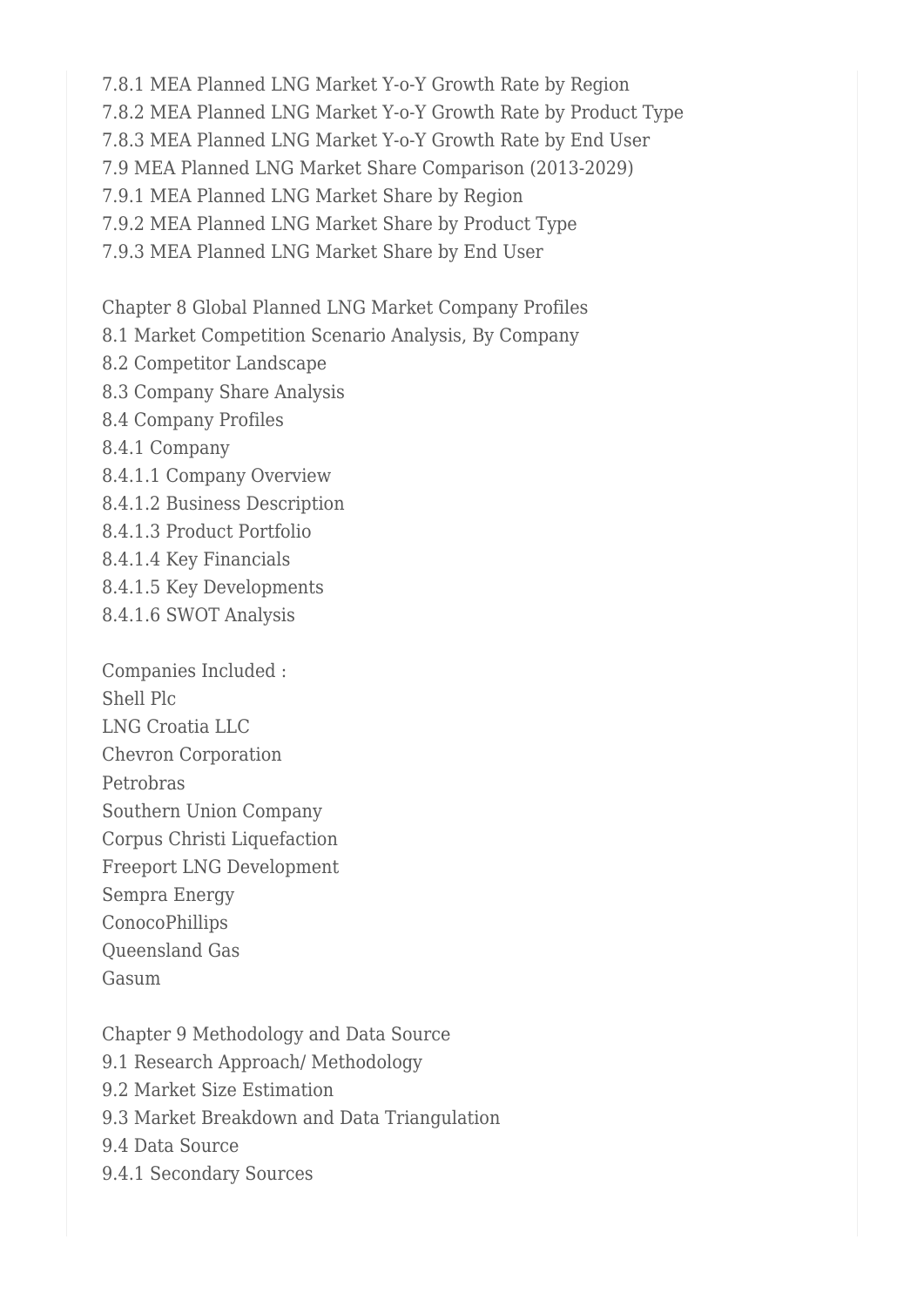7.8.1 MEA Planned LNG Market Y-o-Y Growth Rate by Region 7.8.2 MEA Planned LNG Market Y-o-Y Growth Rate by Product Type 7.8.3 MEA Planned LNG Market Y-o-Y Growth Rate by End User 7.9 MEA Planned LNG Market Share Comparison (2013-2029) 7.9.1 MEA Planned LNG Market Share by Region 7.9.2 MEA Planned LNG Market Share by Product Type 7.9.3 MEA Planned LNG Market Share by End User

Chapter 8 Global Planned LNG Market Company Profiles

- 8.1 Market Competition Scenario Analysis, By Company
- 8.2 Competitor Landscape
- 8.3 Company Share Analysis
- 8.4 Company Profiles
- 8.4.1 Company
- 8.4.1.1 Company Overview
- 8.4.1.2 Business Description
- 8.4.1.3 Product Portfolio
- 8.4.1.4 Key Financials
- 8.4.1.5 Key Developments
- 8.4.1.6 SWOT Analysis

Companies Included : Shell Plc LNG Croatia LLC Chevron Corporation Petrobras Southern Union Company Corpus Christi Liquefaction Freeport LNG Development Sempra Energy ConocoPhillips Queensland Gas Gasum

Chapter 9 Methodology and Data Source 9.1 Research Approach/ Methodology 9.2 Market Size Estimation 9.3 Market Breakdown and Data Triangulation 9.4 Data Source 9.4.1 Secondary Sources